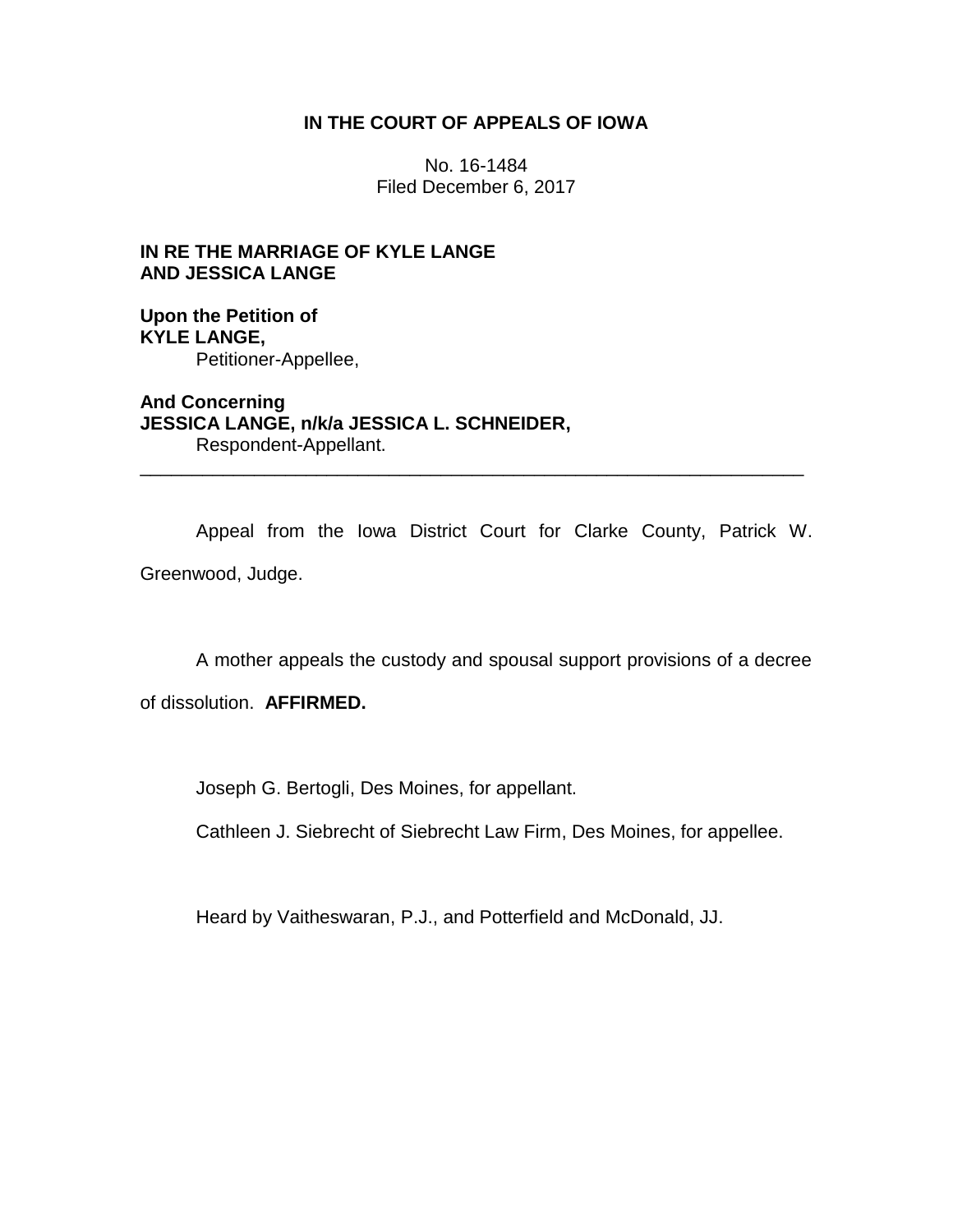# **IN THE COURT OF APPEALS OF IOWA**

No. 16-1484 Filed December 6, 2017

# **IN RE THE MARRIAGE OF KYLE LANGE AND JESSICA LANGE**

# **Upon the Petition of KYLE LANGE,** Petitioner-Appellee,

**And Concerning JESSICA LANGE, n/k/a JESSICA L. SCHNEIDER,** Respondent-Appellant.

Appeal from the Iowa District Court for Clarke County, Patrick W. Greenwood, Judge.

\_\_\_\_\_\_\_\_\_\_\_\_\_\_\_\_\_\_\_\_\_\_\_\_\_\_\_\_\_\_\_\_\_\_\_\_\_\_\_\_\_\_\_\_\_\_\_\_\_\_\_\_\_\_\_\_\_\_\_\_\_\_\_\_

A mother appeals the custody and spousal support provisions of a decree

of dissolution. **AFFIRMED.**

Joseph G. Bertogli, Des Moines, for appellant.

Cathleen J. Siebrecht of Siebrecht Law Firm, Des Moines, for appellee.

Heard by Vaitheswaran, P.J., and Potterfield and McDonald, JJ.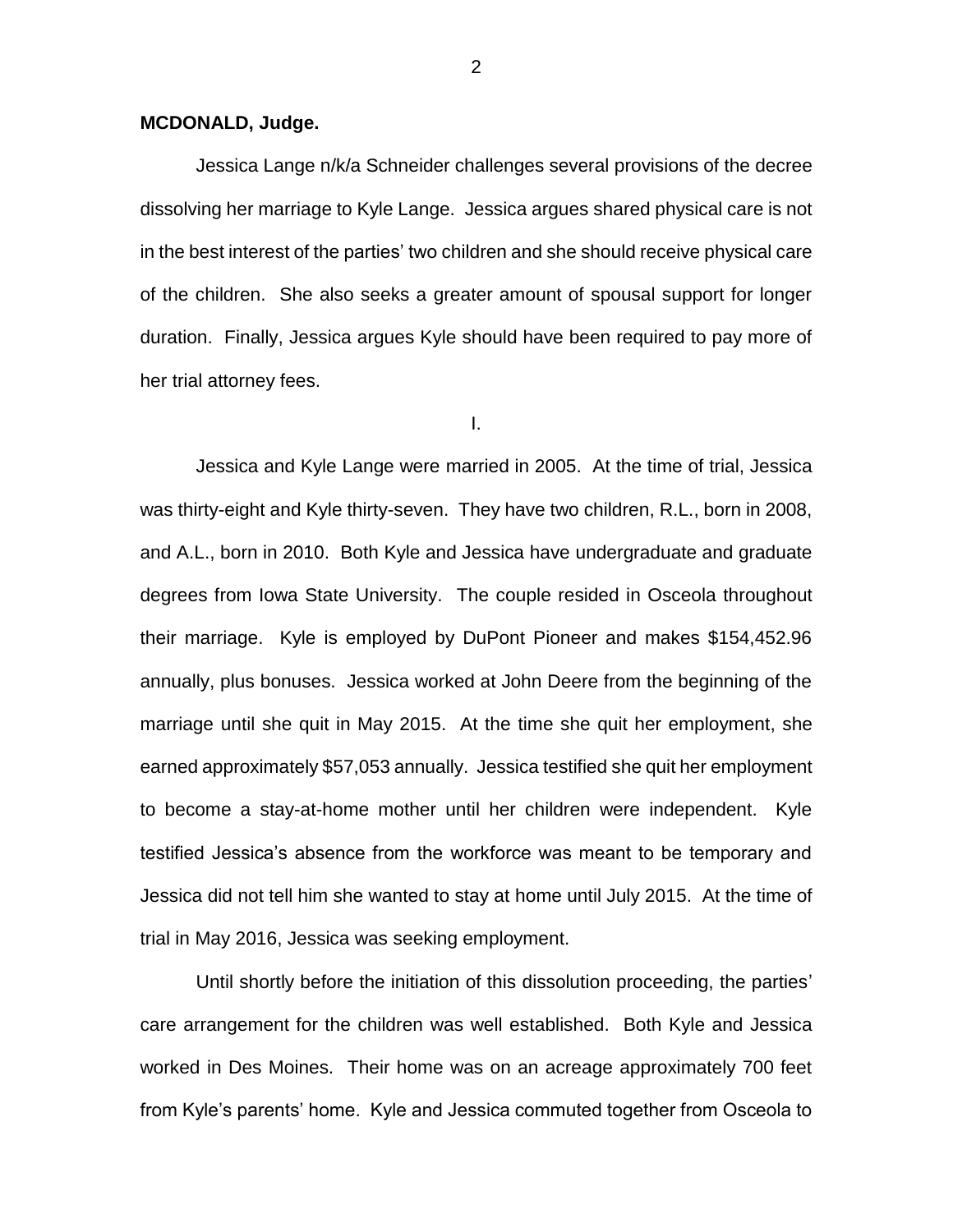### **MCDONALD, Judge.**

Jessica Lange n/k/a Schneider challenges several provisions of the decree dissolving her marriage to Kyle Lange. Jessica argues shared physical care is not in the best interest of the parties' two children and she should receive physical care of the children. She also seeks a greater amount of spousal support for longer duration. Finally, Jessica argues Kyle should have been required to pay more of her trial attorney fees.

I.

Jessica and Kyle Lange were married in 2005. At the time of trial, Jessica was thirty-eight and Kyle thirty-seven. They have two children, R.L., born in 2008, and A.L., born in 2010. Both Kyle and Jessica have undergraduate and graduate degrees from Iowa State University. The couple resided in Osceola throughout their marriage. Kyle is employed by DuPont Pioneer and makes \$154,452.96 annually, plus bonuses. Jessica worked at John Deere from the beginning of the marriage until she quit in May 2015. At the time she quit her employment, she earned approximately \$57,053 annually. Jessica testified she quit her employment to become a stay-at-home mother until her children were independent. Kyle testified Jessica's absence from the workforce was meant to be temporary and Jessica did not tell him she wanted to stay at home until July 2015. At the time of trial in May 2016, Jessica was seeking employment.

Until shortly before the initiation of this dissolution proceeding, the parties' care arrangement for the children was well established. Both Kyle and Jessica worked in Des Moines. Their home was on an acreage approximately 700 feet from Kyle's parents' home. Kyle and Jessica commuted together from Osceola to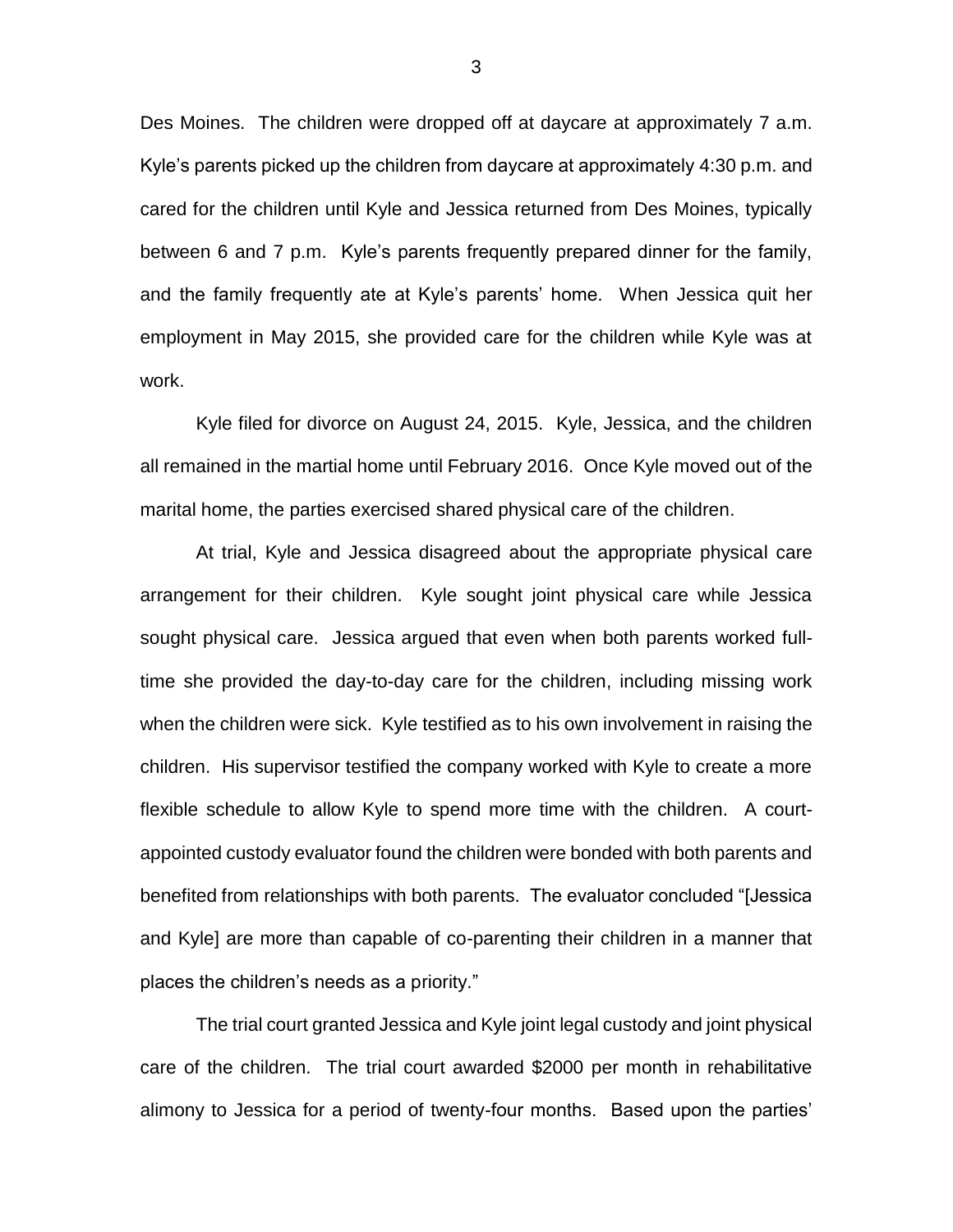Des Moines. The children were dropped off at daycare at approximately 7 a.m. Kyle's parents picked up the children from daycare at approximately 4:30 p.m. and cared for the children until Kyle and Jessica returned from Des Moines, typically between 6 and 7 p.m. Kyle's parents frequently prepared dinner for the family, and the family frequently ate at Kyle's parents' home. When Jessica quit her employment in May 2015, she provided care for the children while Kyle was at work.

Kyle filed for divorce on August 24, 2015. Kyle, Jessica, and the children all remained in the martial home until February 2016. Once Kyle moved out of the marital home, the parties exercised shared physical care of the children.

At trial, Kyle and Jessica disagreed about the appropriate physical care arrangement for their children. Kyle sought joint physical care while Jessica sought physical care. Jessica argued that even when both parents worked fulltime she provided the day-to-day care for the children, including missing work when the children were sick. Kyle testified as to his own involvement in raising the children. His supervisor testified the company worked with Kyle to create a more flexible schedule to allow Kyle to spend more time with the children. A courtappointed custody evaluator found the children were bonded with both parents and benefited from relationships with both parents. The evaluator concluded "[Jessica and Kyle] are more than capable of co-parenting their children in a manner that places the children's needs as a priority."

The trial court granted Jessica and Kyle joint legal custody and joint physical care of the children. The trial court awarded \$2000 per month in rehabilitative alimony to Jessica for a period of twenty-four months. Based upon the parties'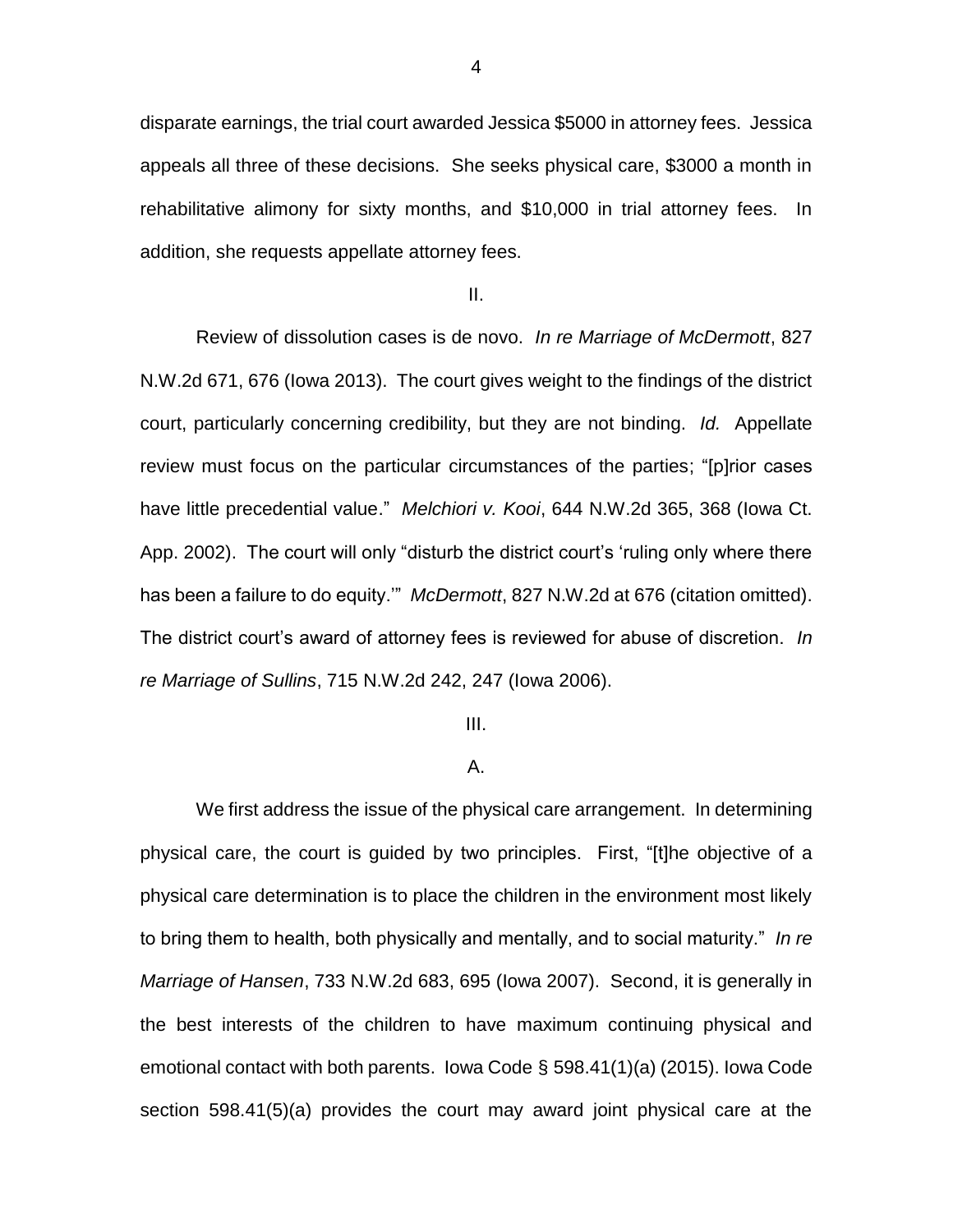disparate earnings, the trial court awarded Jessica \$5000 in attorney fees. Jessica appeals all three of these decisions. She seeks physical care, \$3000 a month in rehabilitative alimony for sixty months, and \$10,000 in trial attorney fees. In addition, she requests appellate attorney fees.

II.

Review of dissolution cases is de novo. *In re Marriage of McDermott*, 827 N.W.2d 671, 676 (Iowa 2013). The court gives weight to the findings of the district court, particularly concerning credibility, but they are not binding. *Id.* Appellate review must focus on the particular circumstances of the parties; "[p]rior cases have little precedential value." *Melchiori v. Kooi*, 644 N.W.2d 365, 368 (Iowa Ct. App. 2002). The court will only "disturb the district court's 'ruling only where there has been a failure to do equity.'" *McDermott*, 827 N.W.2d at 676 (citation omitted). The district court's award of attorney fees is reviewed for abuse of discretion. *In re Marriage of Sullins*, 715 N.W.2d 242, 247 (Iowa 2006).

### III.

#### A.

We first address the issue of the physical care arrangement. In determining physical care, the court is guided by two principles. First, "[t]he objective of a physical care determination is to place the children in the environment most likely to bring them to health, both physically and mentally, and to social maturity." *In re Marriage of Hansen*, 733 N.W.2d 683, 695 (Iowa 2007). Second, it is generally in the best interests of the children to have maximum continuing physical and emotional contact with both parents. Iowa Code § 598.41(1)(a) (2015). Iowa Code section 598.41(5)(a) provides the court may award joint physical care at the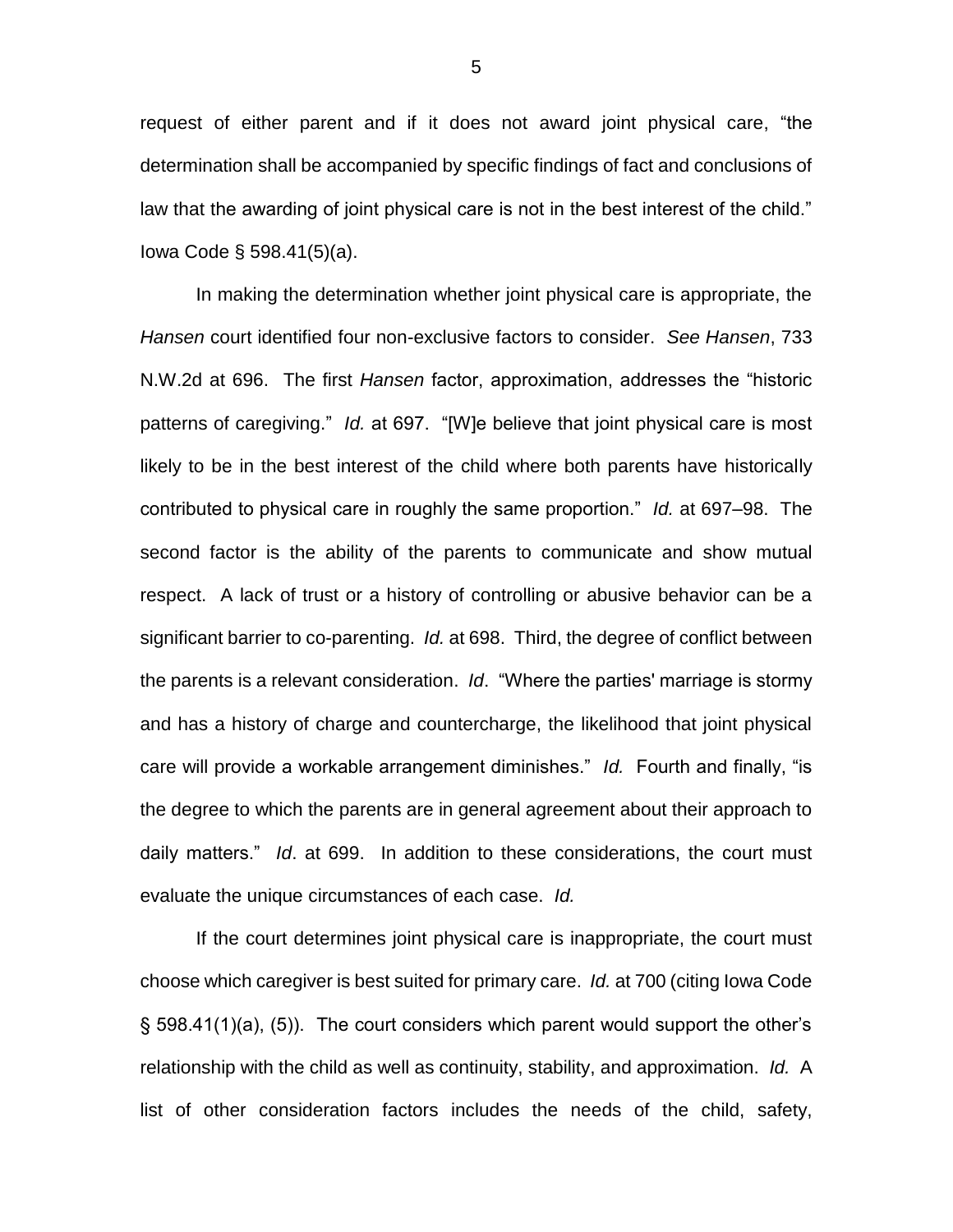request of either parent and if it does not award joint physical care, "the determination shall be accompanied by specific findings of fact and conclusions of law that the awarding of joint physical care is not in the best interest of the child." Iowa Code § 598.41(5)(a).

In making the determination whether joint physical care is appropriate, the *Hansen* court identified four non-exclusive factors to consider. *See Hansen*, 733 N.W.2d at 696. The first *Hansen* factor, approximation, addresses the "historic patterns of caregiving." *Id.* at 697. "[W]e believe that joint physical care is most likely to be in the best interest of the child where both parents have historically contributed to physical care in roughly the same proportion." *Id.* at 697–98. The second factor is the ability of the parents to communicate and show mutual respect. A lack of trust or a history of controlling or abusive behavior can be a significant barrier to co-parenting. *Id.* at 698. Third, the degree of conflict between the parents is a relevant consideration. *Id*. "Where the parties' marriage is stormy and has a history of charge and countercharge, the likelihood that joint physical care will provide a workable arrangement diminishes." *Id.* Fourth and finally, "is the degree to which the parents are in general agreement about their approach to daily matters." *Id*. at 699. In addition to these considerations, the court must evaluate the unique circumstances of each case. *Id.*

If the court determines joint physical care is inappropriate, the court must choose which caregiver is best suited for primary care. *Id.* at 700 (citing Iowa Code § 598.41(1)(a), (5)). The court considers which parent would support the other's relationship with the child as well as continuity, stability, and approximation. *Id.* A list of other consideration factors includes the needs of the child, safety,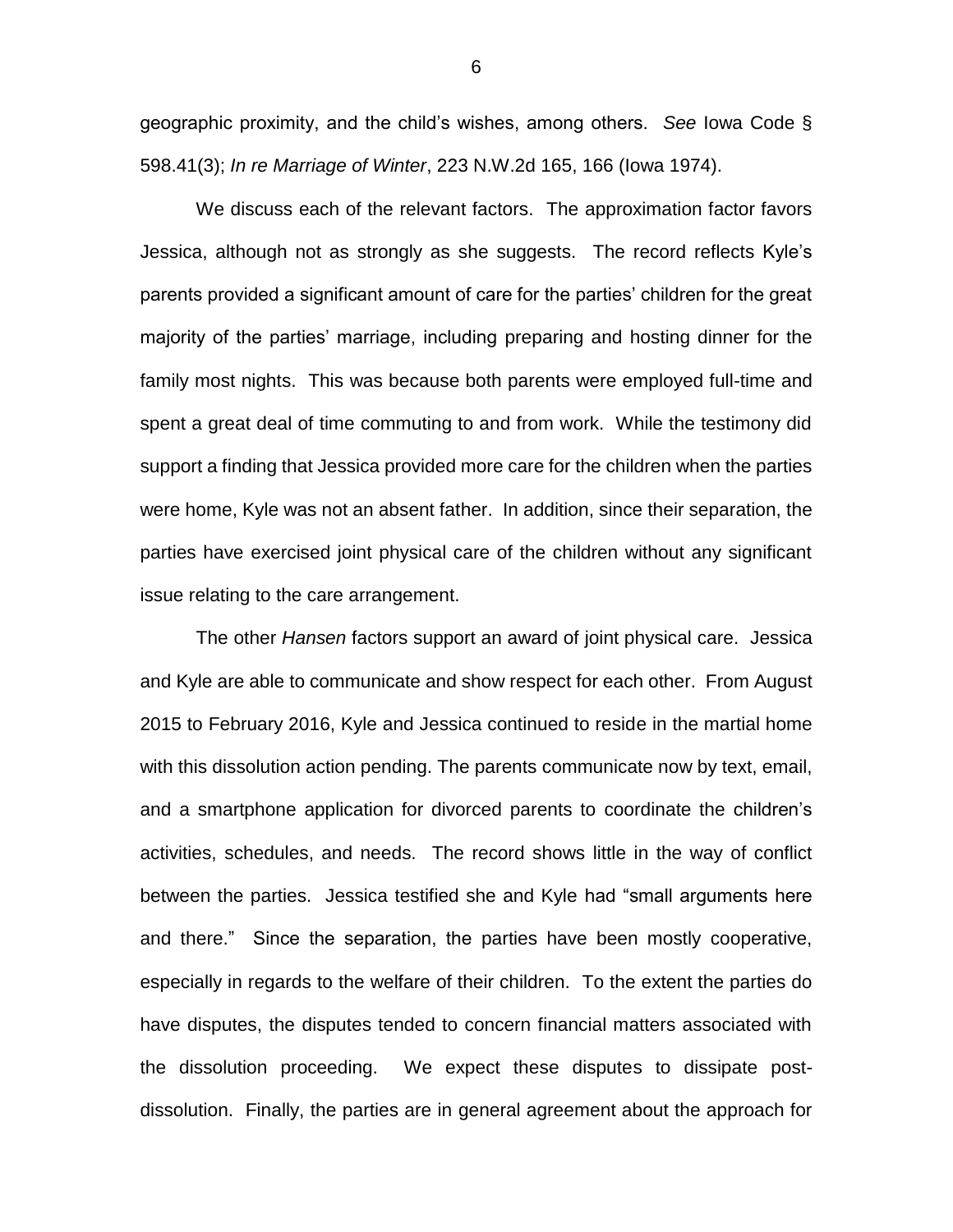geographic proximity, and the child's wishes, among others. *See* Iowa Code § 598.41(3); *In re Marriage of Winter*, 223 N.W.2d 165, 166 (Iowa 1974).

We discuss each of the relevant factors. The approximation factor favors Jessica, although not as strongly as she suggests. The record reflects Kyle's parents provided a significant amount of care for the parties' children for the great majority of the parties' marriage, including preparing and hosting dinner for the family most nights. This was because both parents were employed full-time and spent a great deal of time commuting to and from work. While the testimony did support a finding that Jessica provided more care for the children when the parties were home, Kyle was not an absent father. In addition, since their separation, the parties have exercised joint physical care of the children without any significant issue relating to the care arrangement.

The other *Hansen* factors support an award of joint physical care. Jessica and Kyle are able to communicate and show respect for each other. From August 2015 to February 2016, Kyle and Jessica continued to reside in the martial home with this dissolution action pending. The parents communicate now by text, email, and a smartphone application for divorced parents to coordinate the children's activities, schedules, and needs. The record shows little in the way of conflict between the parties. Jessica testified she and Kyle had "small arguments here and there." Since the separation, the parties have been mostly cooperative, especially in regards to the welfare of their children. To the extent the parties do have disputes, the disputes tended to concern financial matters associated with the dissolution proceeding. We expect these disputes to dissipate postdissolution. Finally, the parties are in general agreement about the approach for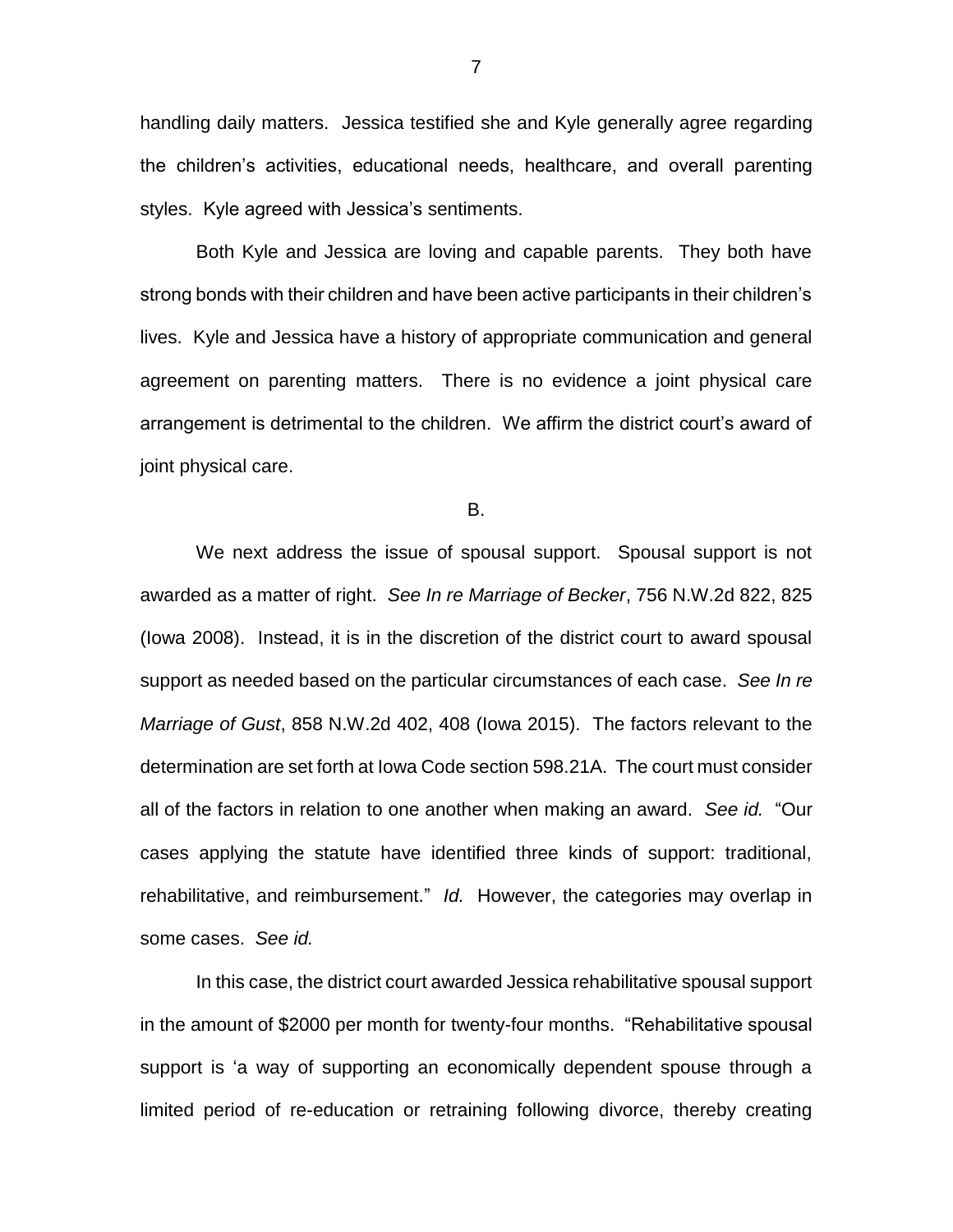handling daily matters. Jessica testified she and Kyle generally agree regarding the children's activities, educational needs, healthcare, and overall parenting styles. Kyle agreed with Jessica's sentiments.

Both Kyle and Jessica are loving and capable parents. They both have strong bonds with their children and have been active participants in their children's lives. Kyle and Jessica have a history of appropriate communication and general agreement on parenting matters. There is no evidence a joint physical care arrangement is detrimental to the children. We affirm the district court's award of joint physical care.

B.

We next address the issue of spousal support. Spousal support is not awarded as a matter of right. *See In re Marriage of Becker*, 756 N.W.2d 822, 825 (Iowa 2008). Instead, it is in the discretion of the district court to award spousal support as needed based on the particular circumstances of each case. *See In re Marriage of Gust*, 858 N.W.2d 402, 408 (Iowa 2015). The factors relevant to the determination are set forth at Iowa Code section 598.21A. The court must consider all of the factors in relation to one another when making an award. *See id.* "Our cases applying the statute have identified three kinds of support: traditional, rehabilitative, and reimbursement." *Id.* However, the categories may overlap in some cases. *See id.*

In this case, the district court awarded Jessica rehabilitative spousal support in the amount of \$2000 per month for twenty-four months. "Rehabilitative spousal support is 'a way of supporting an economically dependent spouse through a limited period of re-education or retraining following divorce, thereby creating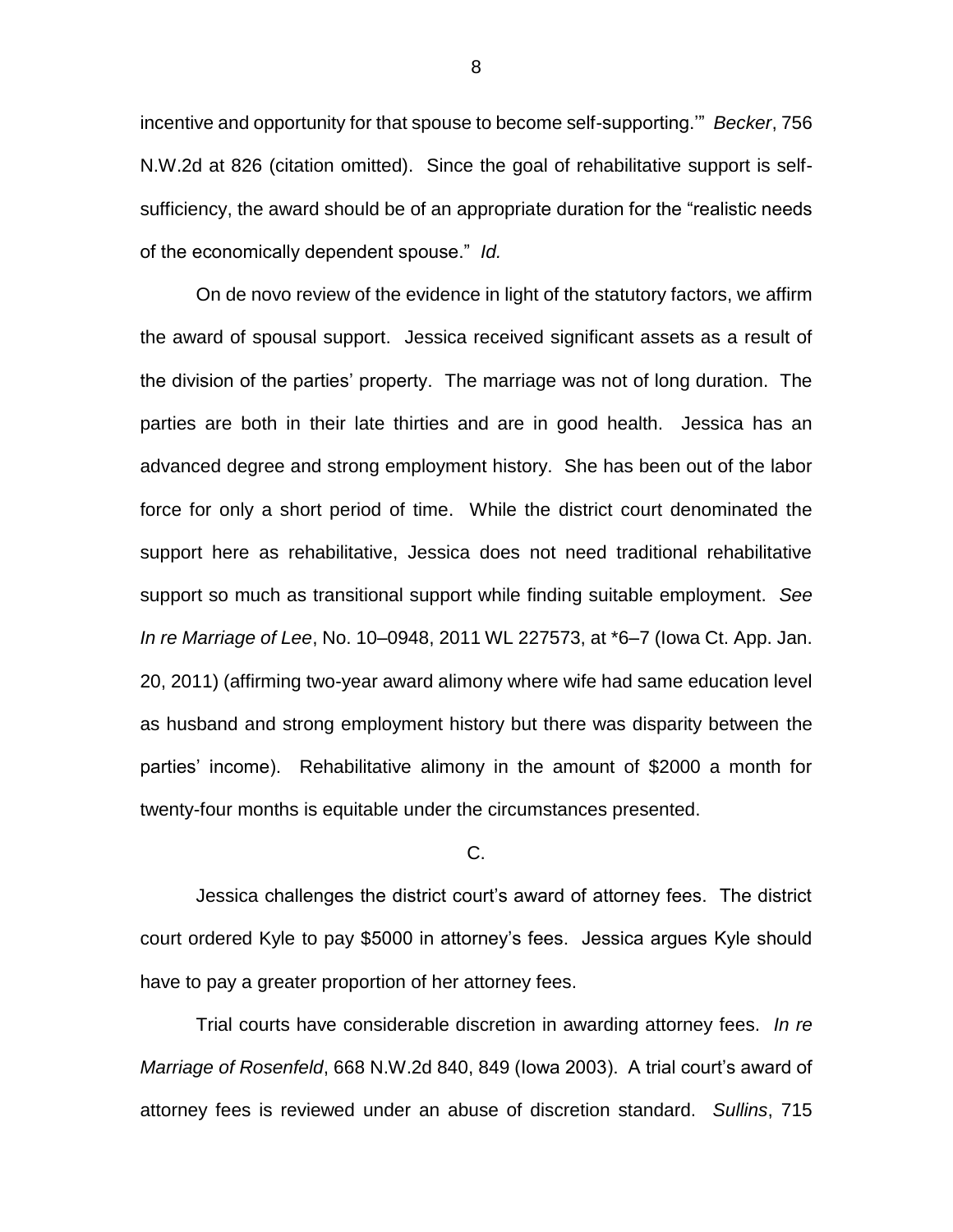incentive and opportunity for that spouse to become self-supporting.'" *Becker*, 756 N.W.2d at 826 (citation omitted). Since the goal of rehabilitative support is selfsufficiency, the award should be of an appropriate duration for the "realistic needs of the economically dependent spouse." *Id.*

On de novo review of the evidence in light of the statutory factors, we affirm the award of spousal support. Jessica received significant assets as a result of the division of the parties' property. The marriage was not of long duration. The parties are both in their late thirties and are in good health. Jessica has an advanced degree and strong employment history. She has been out of the labor force for only a short period of time. While the district court denominated the support here as rehabilitative, Jessica does not need traditional rehabilitative support so much as transitional support while finding suitable employment. *See In re Marriage of Lee*, No. 10–0948, 2011 WL 227573, at \*6–7 (Iowa Ct. App. Jan. 20, 2011) (affirming two-year award alimony where wife had same education level as husband and strong employment history but there was disparity between the parties' income). Rehabilitative alimony in the amount of \$2000 a month for twenty-four months is equitable under the circumstances presented.

### C.

Jessica challenges the district court's award of attorney fees. The district court ordered Kyle to pay \$5000 in attorney's fees. Jessica argues Kyle should have to pay a greater proportion of her attorney fees.

Trial courts have considerable discretion in awarding attorney fees. *In re Marriage of Rosenfeld*, 668 N.W.2d 840, 849 (Iowa 2003). A trial court's award of attorney fees is reviewed under an abuse of discretion standard. *Sullins*, 715

8